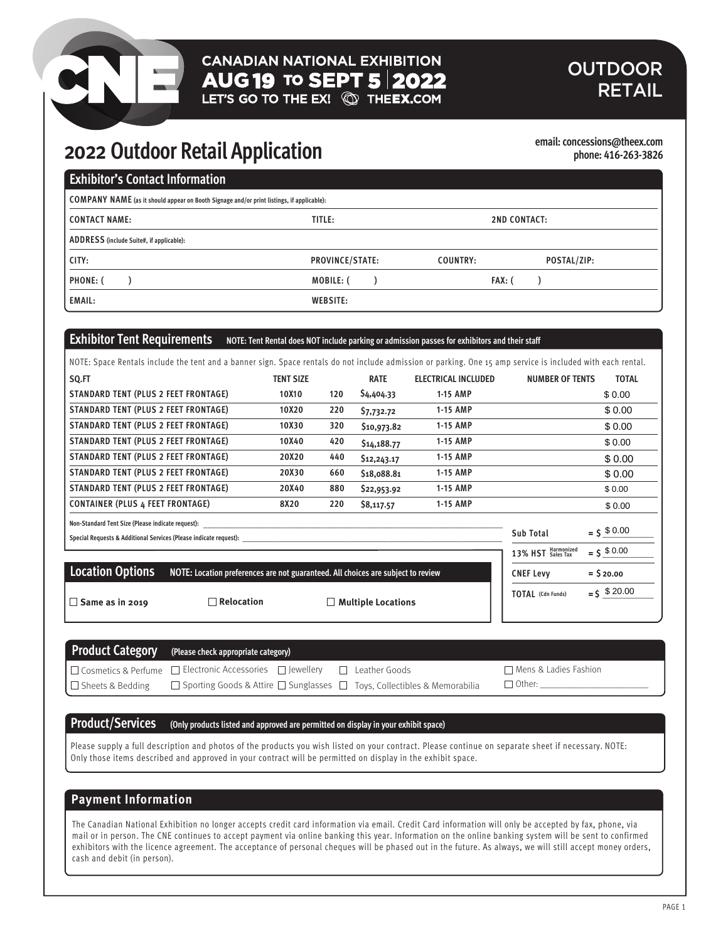# **CANADIAN NATIONAL EXHIBITION**  $\overline{AUG}$  19 to SEPT 5 2022<br>LET'S GO TO THE EX!  $\textcircled{S}$  The EX.COM

# **OUTDOOR** RETAIL

# **2022 Outdoor Retail Application**

**email: concessions@theex.com phone: 416-263-3826**

**TOTAL** (Cdn Funds) =  $\int$   $\frac{1}{2}$   $\frac{3}{2}$   $\frac{20.00}{20}$ 

| <b>Exhibitor's Contact Information</b>                                                    |                        |                         |  |  |
|-------------------------------------------------------------------------------------------|------------------------|-------------------------|--|--|
| COMPANY NAME (as it should appear on Booth Signage and/or print listings, if applicable): |                        |                         |  |  |
| I CONTACT NAME:                                                                           | TITLE:                 | <b>2ND CONTACT:</b>     |  |  |
| ADDRESS (include Suite#, if applicable):                                                  |                        |                         |  |  |
| CITY:                                                                                     | <b>PROVINCE/STATE:</b> | POSTAL/ZIP:<br>COUNTRY: |  |  |
| <b>PHONE: (</b>                                                                           | MOBILE: (              | FAX: (                  |  |  |
| <b>EMAIL:</b>                                                                             | <b>WEBSITE:</b>        |                         |  |  |

# **Exhibitor Tent Requirements** NOTE: Tent Rental does NOT include parking or admission passes for exhibitors and their staff

□ Relocation **Bame Booth Booth Booth Booth Booth Booth Booth Booth Booth Booth Booth Booth Booth Booth Booth Booth Booth Booth Booth Booth Booth Booth Booth Booth Booth Booth Booth Booth Booth Booth Booth Booth Booth Boot** 

| SQ.FT                                                                                                                  | <b>TENT SIZE</b> |     | <b>RATE</b> | <b>ELECTRICAL INCLUDED</b> | <b>NUMBER OF TENTS</b>                   | <b>TOTAL</b>   |
|------------------------------------------------------------------------------------------------------------------------|------------------|-----|-------------|----------------------------|------------------------------------------|----------------|
| STANDARD TENT (PLUS 2 FEET FRONTAGE)                                                                                   | 10X10            | 120 | \$4,404.33  | 1-15 AMP                   |                                          | \$0.00         |
| STANDARD TENT (PLUS 2 FEET FRONTAGE)                                                                                   | 10X20            | 220 | \$7,732.72  | 1-15 AMP                   |                                          | \$0.00         |
| STANDARD TENT (PLUS 2 FEET FRONTAGE)                                                                                   | 10X30            | 320 | \$10,973.82 | 1-15 AMP                   |                                          | \$0.00         |
| STANDARD TENT (PLUS 2 FEET FRONTAGE)                                                                                   | 10X40            | 420 | \$14,188.77 | 1-15 AMP                   |                                          | \$0.00         |
| STANDARD TENT (PLUS 2 FEET FRONTAGE)                                                                                   | 20X20            | 440 | \$12,243.17 | 1-15 AMP                   |                                          | \$0.00         |
| STANDARD TENT (PLUS 2 FEET FRONTAGE)                                                                                   | 20X30            | 660 | \$18,088.81 | 1-15 AMP                   |                                          | \$0.00         |
| STANDARD TENT (PLUS 2 FEET FRONTAGE)                                                                                   | 20X40            | 880 | \$22,953.92 | 1-15 AMP                   |                                          | \$0.00         |
| <b>CONTAINER (PLUS 4 FEET FRONTAGE)</b>                                                                                | 8X20             | 220 | \$8,117.57  | 1-15 AMP                   |                                          | \$0.00         |
| Non-Standard Tent Size (Please indicate request):<br>Special Requests & Additional Services (Please indicate request): |                  |     |             |                            | Sub Total                                | $=$ \$ $0.00$  |
|                                                                                                                        |                  |     |             |                            | 13% HST Harmonized                       | $=$ \$ \$ 0.00 |
| <b>Location Options</b><br>NOTE: Location preferences are not guaranteed. All choices are subject to review            |                  |     |             |                            | <b>CNEF Levy</b>                         | $=$ \$ 20.00   |
|                                                                                                                        |                  |     |             |                            | $T\bigcap T\bigtriangleup I$ (Cdn Eunds) | $= 5, 20.00$   |

| $\Box$ Same as in 2019 |  |  |
|------------------------|--|--|

|                         | <b>Product Category</b> (Please check appropriate category)                              |                      |                         |
|-------------------------|------------------------------------------------------------------------------------------|----------------------|-------------------------|
|                         | $\Box$ Cosmetics & Perfume $\Box$ Electronic Accessories $\Box$ Jewellery                | $\Box$ Leather Goods | □ Mens & Ladies Fashion |
| $\Box$ Sheets & Bedding | $\Box$ Sporting Goods & Attire $\Box$ Sunglasses $\Box$ Toys, Collectibles & Memorabilia |                      | $\Box$ Other:           |

# **Product/Services (Only products listed and approved are permitted on display in your exhibit space)**

Please supply a full description and photos of the products you wish listed on your contract. Please continue on separate sheet if necessary. NOTE: Only those items described and approved in your contract will be permitted on display in the exhibit space.

# **Payment Information**

The Canadian National Exhibition no longer accepts credit card information via email. Credit Card information will only be accepted by fax, phone, via mail or in person. The CNE continues to accept payment via online banking this year. Information on the online banking system will be sent to confirmed exhibitors with the licence agreement. The acceptance of personal cheques will be phased out in the future. As always, we will still accept money orders, cash and debit (in person).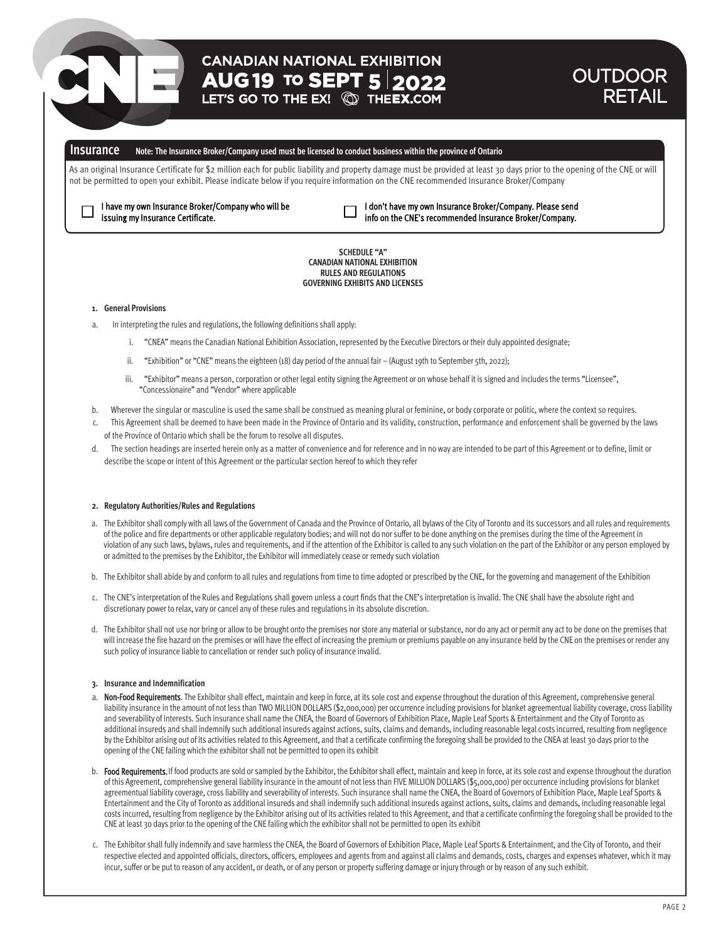# **CANADIAN NATIONAL EXHIBITION AUG 19 TO SEPT 5 2022**<br>LET'S GO TO THE EX! **QD THEEX.COM**

# OUTDOOR RETAIL

# **Insurance Note: The Insurance Broker/Company used must be licensed to conduct business within the province of Ontario**

As an original Insurance Certificate for \$2 million each for public liability and property damage must be provided at least 30 days prior to the opening of the CNE or will not be permitted to open your exhibit. Please indicate below if you require information on the CNE recommended Insurance Broker/Company

I have my own Insurance Broker/Company who will be issuing my Insurance Certificate.

I don't have my own Insurance Broker/Company. Please send info on the CNE's recommended Insurance Broker/Company.

**SCHEDULE "A" CANADIAN NATIONAL EXHIBITION RULES AND REGULATIONS GOVERNING EXHIBITS AND LICENSES**

## **1. General Provisions**

 $\perp$ 

- In interpreting the rules and regulations, the following definitions shall apply:
	- i. "CNEA" means the Canadian National Exhibition Association, represented by the Executive Directors or their duly appointed designate;
	- ii. "Exhibition" or "CNE" means the eighteen (18) day period of the annual fair (August 19th to September 5th, 2022);
	- iii. "Exhibitor" means a person, corporation or other legal entity signing the Agreement or on whose behalf it is signed and includes the terms "Licensee", "Concessionaire" and "Vendor" where applicable
- b. Wherever the singular or masculine is used the same shall be construed as meaning plural or feminine, or body corporate or politic, where the context so requires.
- c. This Agreement shall be deemed to have been made in the Province of Ontario and its validity, construction, performance and enforcement shall be governed by the laws of the Province of Ontario which shall be the forum to resolve all disputes.
- d. The section headings are inserted herein only as a matter of convenience and for reference and in no way are intended to be part of this Agreement or to define, limit or describe the scope or intent of this Agreement or the particular section hereof to which they refer

## **2. Regulatory Authorities/Rules and Regulations**

- a. The Exhibitor shall comply with all laws of the Government of Canada and the Province of Ontario, all bylaws of the City of Toronto and its successors and all rules and requirements of the police and fire departments or other applicable regulatory bodies; and will not do nor suffer to be done anything on the premises during the time of the Agreement in violation of any such laws, bylaws, rules and requirements, and if the attention of the Exhibitor is called to any such violation on the part of the Exhibitor or any person employed by or admitted to the premises by the Exhibitor, the Exhibitor will immediately cease or remedy such violation
- b. The Exhibitor shall abide by and conform to all rules and regulations from time to time adopted or prescribed by the CNE, for the governing and management of the Exhibition
- c. The CNE's interpretation of the Rules and Regulations shall govern unless a court finds that the CNE's interpretation is invalid. The CNE shall have the absolute right and discretionary power to relax, vary or cancel any of these rules and regulations in its absolute discretion.
- d. The Exhibitor shall not use nor bring or allow to be brought onto the premises nor store any material or substance, nor do any act or permit any act to be done on the premises that will increase the fire hazard on the premises or will have the effect of increasing the premium or premiums payable on any insurance held by the CNE on the premises or render any such policy of insurance liable to cancellation or render such policy of insurance invalid.

#### **3. Insurance and Indemnification**

- a. Non-Food Requirements. The Exhibitor shall effect, maintain and keep in force, at its sole cost and expense throughout the duration of this Agreement, comprehensive general liability insurance in the amount of not less than TWO MILLION DOLLARS (\$2,000,000) per occurrence including provisions for blanket agreementual liability coverage, cross liability and severability of interests. Such insurance shall name the CNEA, the Board of Governors of Exhibition Place, Maple Leaf Sports & Entertainment and the City of Toronto as additional insureds and shall indemnify such additional insureds against actions, suits, claims and demands, including reasonable legal costs incurred, resulting from negligence by the Exhibitor arising out of its activities related to this Agreement, and that a certificate confirming the foregoing shall be provided to the CNEA at least 30 days prior to the opening of the CNE failing which the exhibitor shall not be permitted to open its exhibit
- b. Food Requirements. If food products are sold or sampled by the Exhibitor, the Exhibitor shall effect, maintain and keep in force, at its sole cost and expense throughout the duration of this Agreement, comprehensive general liability insurance in the amount of not less than FIVE MILLION DOLLARS (\$5,000,000) per occurrence including provisions for blanket agreementual liability coverage, cross liability and severability of interests. Such insurance shall name the CNEA, the Board of Governors of Exhibition Place, Maple Leaf Sports & Entertainment and the City of Toronto as additional insureds and shall indemnify such additional insureds against actions, suits, claims and demands, including reasonable legal costs incurred, resulting from negligence by the Exhibitor arising out of its activities related to this Agreement, and that a certificate confirming the foregoing shall be provided to the CNE at least 30 days prior to the opening of the CNE failing which the exhibitor shall not be permitted to open its exhibit
- c. The Exhibitor shall fully indemnify and save harmless the CNEA, the Board of Governors of Exhibition Place, Maple Leaf Sports & Entertainment, and the City of Toronto, and their respective elected and appointed officials, directors, officers, employees and agents from and against all claims and demands, costs, charges and expenses whatever, which it may incur, suffer or be put to reason of any accident, or death, or of any person or property suffering damage or injury through or by reason of any such exhibit.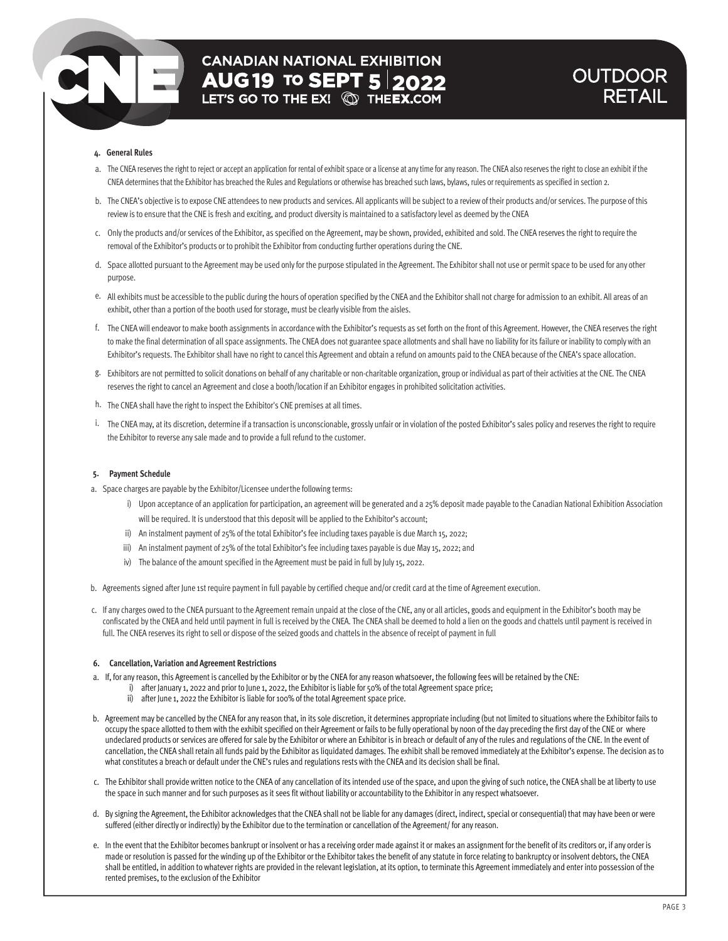# **CANADIAN NATIONAL EXHIBITION AUG 19 TO SEPT 5 2022**<br>LET'S GO TO THE EX! **@ THEEX.COM**

# **OUTDOOR** RETAIL

# **4. General Rules**

- a. The CNEA reserves the right to reject or accept an application for rental of exhibit space or a license at any time for any reason. The CNEA also reserves the right to close an exhibit if the CNEA determines that the Exhibitor has breached the Rules and Regulations or otherwise has breached such laws, bylaws, rules or requirements as specified in section 2.
- b. The CNEA's objective is to expose CNE attendees to new products and services. All applicants will be subject to a review of their products and/or services. The purpose of this review is to ensure that the CNE is fresh and exciting, and product diversity is maintained to a satisfactory level as deemed by the CNEA
- c. Only the products and/or services of the Exhibitor, as specified on the Agreement, may be shown, provided, exhibited and sold. The CNEA reserves the right to require the removal of the Exhibitor's products or to prohibit the Exhibitor from conducting further operations during the CNE.
- d. Space allotted pursuant to the Agreement may be used only for the purpose stipulated in the Agreement. The Exhibitor shall not use or permit space to be used for any other purpose.
- e. All exhibits must be accessible to the public during the hours of operation specified by the CNEA and the Exhibitor shall not charge for admission to an exhibit. All areas of an exhibit, other than a portion of the booth used for storage, must be clearly visible from the aisles.
- f. The CNEA will endeavor to make booth assignments in accordance with the Exhibitor's requests as set forth on the front of this Agreement. However, the CNEA reserves the right to make the final determination of all space assignments. The CNEA does not guarantee space allotments and shall have no liability for its failure or inability to comply with an Exhibitor's requests. The Exhibitor shall have no right to cancel this Agreement and obtain a refund on amounts paid to the CNEA because of the CNEA's space allocation.
- g. Exhibitors are not permitted to solicit donations on behalf of any charitable or non-charitable organization, group or individual as part of their activities at the CNE. The CNEA reserves the right to cancel an Agreement and close a booth/location if an Exhibitor engages in prohibited solicitation activities.
- h. The CNEA shall have the right to inspect the Exhibitor's CNE premises at all times.
- i. The CNEA may, at its discretion, determine if a transaction is unconscionable, grossly unfair or in violation of the posted Exhibitor's sales policy and reserves the right to require the Exhibitor to reverse any sale made and to provide a full refund to the customer.

# **5. Payment Schedule**

- a. Space charges are payable by the Exhibitor/Licensee underthe following terms:
	- i) Upon acceptance of an application for participation, an agreement will be generated and a 25% deposit made payable to the Canadian National Exhibition Association will be required. It is understood that this deposit will be applied to the Exhibitor's account;
	- ii) An instalment payment of 25% of the total Exhibitor's fee including taxes payable is due March 15, 2022;
	- iii) An instalment payment of 25% of the total Exhibitor's fee including taxes payable is due May 15, 2022; and
	- iv) The balance of the amount specified in the Agreement must be paid in full by July 15, 2022.
- b. Agreements signed after June 1st require payment in full payable by certified cheque and/or credit card at the time of Agreement execution.
- c. If any charges owed to the CNEA pursuant to the Agreement remain unpaid at the close of the CNE, any or all articles, goods and equipment in the Exhibitor's booth may be confiscated by the CNEA and held until payment in full is received by the CNEA. The CNEA shall be deemed to hold a lien on the goods and chattels until payment is received in full. The CNEA reserves its right to sell or dispose of the seized goods and chattels in the absence of receipt of payment in full

## **6. Cancellation, Variation and Agreement Restrictions**

- a. If, for anyreason, this Agreement is cancelled bythe Exhibitor or bythe CNEA for anyreason whatsoever, the following fees will be retained bythe CNE:
	- i) after January 1, 2022 and prior to June 1, 2022, the Exhibitor is liable for 50% of the total Agreement space price;
	- ii) after June 1, 2022 the Exhibitor is liable for 100% of the total Agreement space price.
- b. Agreement may be cancelled by the CNEA for any reason that, in its sole discretion, it determines appropriate including (but not limited to situations where the Exhibitor fails to occupy the space allotted to them with the exhibit specified on their Agreement or fails to be fully operational by noon of the day preceding the first day of the CNE or where undeclared products or services are offered for sale bythe Exhibitor or where an Exhibitor is in breach or default of any of the rules and regulations of the CNE. In the event of cancellation, the CNEA shall retain all funds paid bythe Exhibitor as liquidated damages. The exhibit shall be removed immediately at the Exhibitor's expense. The decision as to what constitutes a breach or default under the CNE's rules and regulations rests with the CNEA and its decision shall be final.
- c. The Exhibitor shall provide written notice to the CNEA of anycancellation of its intended use of the space, and upon the giving of such notice, the CNEA shall be at libertyto use the space in such manner and for such purposes as it sees fit without liability or accountabilityto the Exhibitor in anyrespect whatsoever.
- d. By signing the Agreement, the Exhibitor acknowledges that the CNEA shall not be liable for any damages (direct, indirect, special orconsequential) that may have been or were suffered (either directly or indirectly) bythe Exhibitor due to the termination orcancellation of the Agreement/ for anyreason.
- e. In the event that the Exhibitor becomes bankrupt or insolvent or has a receiving order made against it or makes an assignment for the benefit of its creditors or, if any order is made or resolution is passed for the winding up of the Exhibitor or the Exhibitor takes the benefit of any statute in force relating to bankruptcy or insolvent debtors, the CNEA shall be entitled, in addition to whatever rights are provided in the relevant legislation, at its option, to terminate this Agreement immediately and enter into possession of the rented premises, to the exclusion of the Exhibitor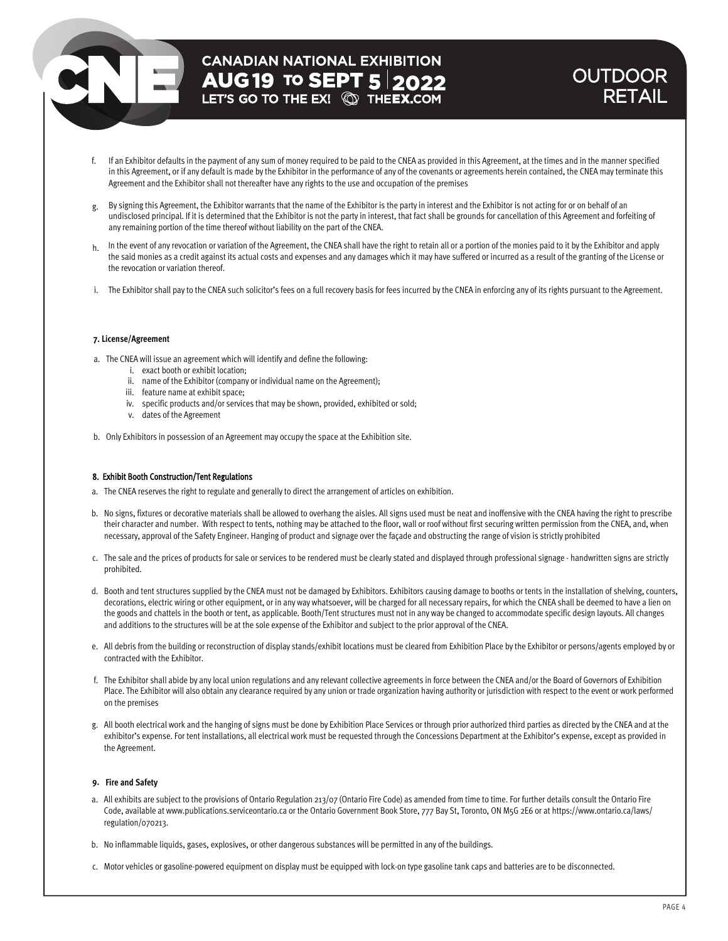# **CANADIAN NATIONAL EXHIBITION AUG 19 TO SEPT 5 2022**<br>LET'S GO TO THE EX! **QD THEEX.COM**

# **OUTDOOR** RETAIL

- If an Exhibitor defaults in the payment of any sum of money required to be paid to the CNEA as provided in this Agreement, at the times and in the manner specified in this Agreement, or if any default is made by the Exhibitor in the performance of any of the covenants or agreements herein contained, the CNEA may terminate this Agreement and the Exhibitor shall not thereafter have any rights to the use and occupation of the premises f.
- g. By signing this Agreement, the Exhibitor warrants that the name of the Exhibitor is the party in interest and the Exhibitor is not acting for or on behalf of an undisclosed principal. If it is determined that the Exhibitor is not the party in interest, that fact shall be grounds for cancellation of this Agreement and forfeiting of any remaining portion of the time thereof without liability on the part of the CNEA.
- $h$  In the event of any revocation or variation of the Agreement, the CNEA shall have the right to retain all or a portion of the monies paid to it by the Exhibitor and apply the said monies as a credit against its actual costs and expenses and any damages which it may have suffered or incurred as a result of the granting of the License or the revocation or variation thereof.
- i. The Exhibitor shall pay to the CNEA such solicitor's fees on a full recovery basis for fees incurred by the CNEA in enforcing any of its rights pursuant to the Agreement.

# **7. License/Agreement**

- a. The CNEA will issue an agreement which will identify and define the following:
	- i. exact booth or exhibit location;
	- ii. name of the Exhibitor (company or individual name on the Agreement);
	- iii. feature name at exhibit space;
	- iv. specific products and/or services that may be shown, provided, exhibited or sold;
	- v. dates of the Agreement
- b. Only Exhibitors in possession of an Agreement may occupy the space at the Exhibition site.

# 8. Exhibit Booth Construction/Tent Regulations

- a. The CNEA reserves the right to regulate and generally to direct the arrangement of articles on exhibition.
- b. No signs, fixtures or decorative materials shall be allowed to overhang the aisles. All signs used must be neat and inoffensive with the CNEA having the right to prescribe their character and number. With respect to tents, nothing may be attached to the floor, wall or roof without first securing written permission from the CNEA, and, when necessary, approval of the Safety Engineer. Hanging of product and signage over the façade and obstructing the range of vision is strictly prohibited
- c. The sale and the prices of products for sale or services to be rendered must be clearly stated and displayed through professional signage handwritten signs are strictly prohibited.
- d. Booth and tent structures supplied by the CNEA must not be damaged by Exhibitors. Exhibitors causing damage to booths or tents in the installation of shelving, counters, decorations, electric wiring or other equipment, or in any way whatsoever, will be charged for all necessary repairs, for which the CNEA shall be deemed to have a lien on the goods and chattels in the booth or tent, as applicable. Booth/Tent structures must not in any way be changed to accommodate specific design layouts. All changes and additions to the structures will be at the sole expense of the Exhibitor and subject to the prior approval of the CNEA.
- e. All debris from the building or reconstruction of display stands/exhibit locations must be cleared from Exhibition Place by the Exhibitor or persons/agents employed by or contracted with the Exhibitor.
- f. The Exhibitor shall abide by any local union regulations and any relevant collective agreements in force between the CNEA and/or the Board of Governors of Exhibition Place. The Exhibitor will also obtain any clearance required by any union or trade organization having authority or jurisdiction with respect to the event or work performed on the premises
- g. All booth electrical work and the hanging of signs must be done by Exhibition Place Services or through prior authorized third parties as directed by the CNEA and at the exhibitor's expense. For tent installations, all electrical work must be requested through the Concessions Department at the Exhibitor's expense, except as provided in the Agreement.

# **9. Fire and Safety**

- a. All exhibits are subject to the provisions of Ontario Regulation 213/07 (Ontario Fire Code) as amended from time to time. For further details consult the Ontario Fire Code, available at www.publications.serviceontario.ca or the Ontario Government Book Store, 777 Bay St, Toronto, ON M5G 2E6 or at https://www.ontario.ca/laws/ regulation/070213.
- b. No inflammable liquids, gases, explosives, or other dangerous substances will be permitted in any of the buildings.
- c. Motor vehicles or gasoline-powered equipment on display must be equipped with lock-on type gasoline tank caps and batteries are to be disconnected.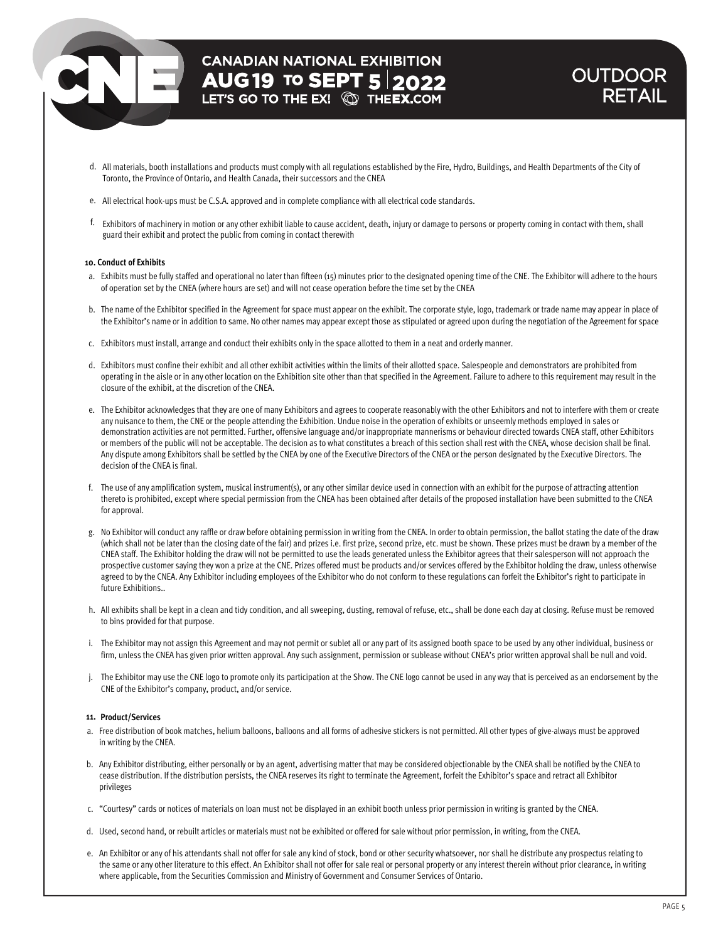# **CANADIAN NATIONAL EXHIBITION** 19 **5** 2022

# **OUTDOOR** RETAIL

- d. All materials, booth installations and products must comply with all regulations established by the Fire, Hydro, Buildings, and Health Departments of the City of Toronto, the Province of Ontario, and Health Canada, their successors and the CNEA
- e. All electrical hook-ups must be C.S.A. approved and in complete compliance with all electrical code standards.
- f. Exhibitors of machinery in motion or any other exhibit liable to cause accident, death, injury or damage to persons or propertycoming in contact with them, shall guard their exhibit and protect the public from coming in contact therewith

# **10. Conduct of Exhibits**

- a. Exhibits must be fully staffed and operational no later than fifteen (15) minutes prior to the designated opening time of the CNE. The Exhibitor will adhere to the hours of operation set by the CNEA (where hours are set) and will not cease operation before the time set by the CNEA
- b. The name of the Exhibitor specified in the Agreement for space must appear on the exhibit. The corporate style, logo, trademark or trade name may appear in place of the Exhibitor's name or in addition to same. No other names may appear except those as stipulated or agreed upon during the negotiation of the Agreement for space
- c. Exhibitors must install, arrange and conduct their exhibits only in the space allotted to them in a neat and orderly manner.
- d. Exhibitors must confine their exhibit and all other exhibit activities within the limits of their allotted space. Salespeople and demonstrators are prohibited from operating in the aisle or in any other location on the Exhibition site other than that specified in the Agreement. Failure to adhere to this requirement may result in the closure of the exhibit, at the discretion of the CNEA.
- e. The Exhibitor acknowledges that they are one of many Exhibitors and agrees to cooperate reasonably with the other Exhibitors and not to interfere with them or create any nuisance to them, the CNE or the people attending the Exhibition. Undue noise in the operation of exhibits or unseemly methods employed in sales or demonstration activities are not permitted. Further, offensive language and/or inappropriate mannerisms or behaviour directed towards CNEA staff, other Exhibitors or members of the public will not be acceptable. The decision as to what constitutes a breach of this section shall rest with the CNEA, whose decision shall be final. Any dispute among Exhibitors shall be settled by the CNEA by one of the Executive Directors of the CNEA or the person designated by the Executive Directors. The decision of the CNEA is final.
- f. The use of any amplification system, musical instrument(s), or any other similar device used in connection with an exhibit for the purpose of attracting attention thereto is prohibited, except where special permission from the CNEA has been obtained after details of the proposed installation have been submitted to the CNEA for approval.
- g. No Exhibitor will conduct any raffle or draw before obtaining permission in writing from the CNEA. In order to obtain permission, the ballot stating the date of the draw (which shall not be later than the closing date of the fair) and prizes i.e. first prize, second prize, etc. must be shown. These prizes must be drawn by a member of the CNEA staff. The Exhibitor holding the draw will not be permitted to use the leads generated unless the Exhibitor agrees that their salesperson will not approach the prospective customer saying they won a prize at the CNE. Prizes offered must be products and/or services offered by the Exhibitor holding the draw, unless otherwise agreed to by the CNEA. Any Exhibitor including employees of the Exhibitor who do not conform to these regulations can forfeit the Exhibitor's right to participate in future Exhibitions..
- h. All exhibits shall be kept in a clean and tidy condition, and all sweeping, dusting, removal of refuse, etc., shall be done each day at closing. Refuse must be removed to bins provided for that purpose.
- i. The Exhibitor may not assign this Agreement and may not permit or sublet all or any part of its assigned booth space to be used by any other individual, business or firm, unless the CNEA has given prior written approval. Any such assignment, permission or sublease without CNEA's prior written approval shall be null and void.
- j. The Exhibitor may use the CNE logo to promote only its participation at the Show. The CNE logo cannot be used in any way that is perceived as an endorsement by the CNE of the Exhibitor's company, product, and/or service.

# **11. Product/Services**

- a. Free distribution of book matches, helium balloons, balloons and all forms of adhesive stickers is not permitted. All other types of give-always must be approved in writing by the CNEA.
- b. Any Exhibitor distributing, either personally or by an agent, advertising matter that may be considered objectionable by the CNEA shall be notified by the CNEA to cease distribution. If the distribution persists, the CNEA reserves its right to terminate the Agreement, forfeit the Exhibitor's space and retract all Exhibitor privileges
- c. "Courtesy" cards or notices of materials on loan must not be displayed in an exhibit booth unless prior permission in writing is granted by the CNEA.
- d. Used, second hand, or rebuilt articles or materials must not be exhibited or offered for sale without prior permission, in writing, from the CNEA.
- e. An Exhibitor or any of his attendants shall not offer for sale any kind of stock, bond or other security whatsoever, nor shall he distribute any prospectus relating to the same or any other literature to this effect. An Exhibitor shall not offer for sale real or personal property or any interest therein without prior clearance, in writing where applicable, from the Securities Commission and Ministry of Government and Consumer Services of Ontario.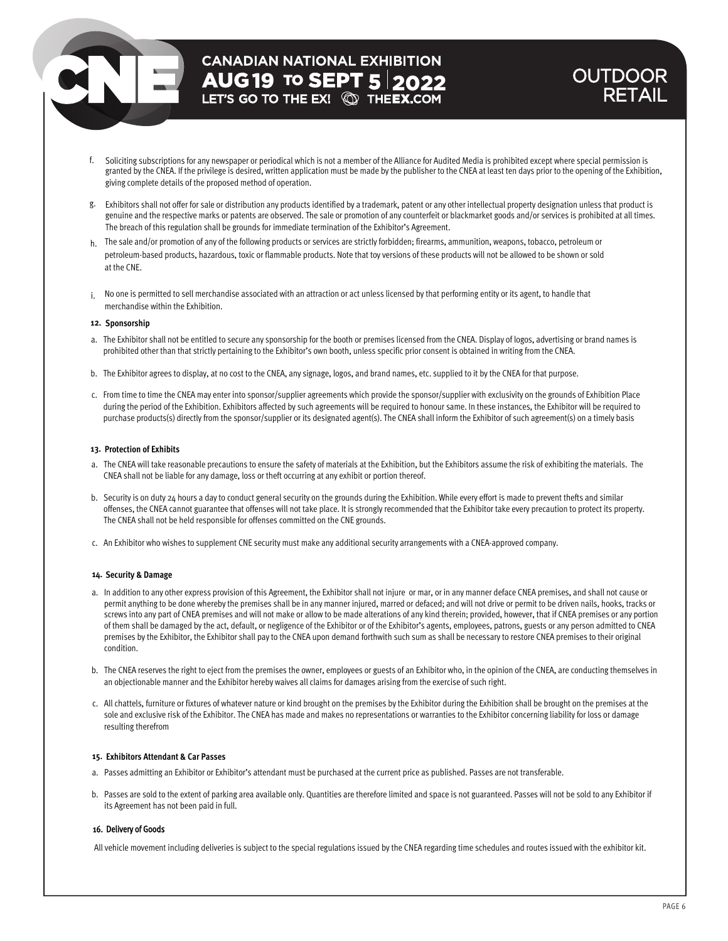# **CANADIAN NATIONAL EXHIBITION AUG19 TO SEPT 5 2022**<br>LET'S GO TO THE EX! **@ THEEX.COM**

# OUTDOOR RETAIL

- f. Soliciting subscriptions for any newspaper or periodical which is not a member of the Alliance for Audited Media is prohibited except where special permission is granted by the CNEA. If the privilege is desired, written application must be made by the publisher to the CNEA at least ten days prior to the opening of the Exhibition, giving complete details of the proposed method of operation.
- Exhibitors shall not offer for sale or distribution any products identified by a trademark, patent or any other intellectual property designation unless that product is g. genuine and the respective marks or patents are observed. The sale or promotion of any counterfeit or blackmarket goods and/or services is prohibited at all times. The breach of this regulation shall be grounds for immediate termination of the Exhibitor's Agreement.
- h. The sale and/or promotion of any of the following products or services are strictly forbidden; firearms, ammunition, weapons, tobacco, petroleum or petroleum-based products, hazardous, toxic or flammable products. Note that toy versions of these products will not be allowed to be shown or sold at the CNE.
- i. No one is permitted to sell merchandise associated with an attraction or act unless licensed by that performing entity or its agent, to handle that merchandise within the Exhibition.

# **12. Sponsorship**

- a. The Exhibitor shall not be entitled to secure any sponsorship for the booth or premises licensed from the CNEA. Display of logos, advertising or brand names is prohibited other than that strictly pertaining to the Exhibitor's own booth, unless specific prior consent is obtained in writing from the CNEA.
- b. The Exhibitor agrees to display, at no cost to the CNEA, any signage, logos, and brand names, etc. supplied to it by the CNEA for that purpose.
- c. From time to time the CNEA may enter into sponsor/supplier agreements which provide the sponsor/supplier with exclusivity on the grounds of Exhibition Place during the period of the Exhibition. Exhibitors affected by such agreements will be required to honour same. In these instances, the Exhibitor will be required to purchase products(s) directly from the sponsor/supplier or its designated agent(s). The CNEA shall inform the Exhibitor of such agreement(s) on a timely basis

## **13. Protection of Exhibits**

- a. The CNEA will take reasonable precautions to ensure the safety of materials at the Exhibition, but the Exhibitors assume the risk of exhibiting the materials. The CNEA shall not be liable for any damage, loss or theft occurring at any exhibit or portion thereof.
- b. Security is on duty 24 hours a day to conduct general security on the grounds during the Exhibition. While every effort is made to prevent thefts and similar offenses, the CNEA cannot guarantee that offenses will not take place. It is strongly recommended that the Exhibitor take every precaution to protect its property. The CNEA shall not be held responsible for offenses committed on the CNE grounds.
- c. An Exhibitor who wishes to supplement CNE security must make any additional security arrangements with a CNEA-approved company.

## **14. Security & Damage**

- a. In addition to any other express provision of this Agreement, the Exhibitor shall not injure or mar, or in any manner deface CNEA premises, and shall not cause or permit anything to be done whereby the premises shall be in any manner injured, marred or defaced; and will not drive or permit to be driven nails, hooks, tracks or screws into any part of CNEA premises and will not make or allow to be made alterations of any kind therein; provided, however, that if CNEA premises or any portion of them shall be damaged by the act, default, or negligence of the Exhibitor or of the Exhibitor's agents, employees, patrons, guests or any person admitted to CNEA premises by the Exhibitor, the Exhibitor shall pay to the CNEA upon demand forthwith such sum as shall be necessary to restore CNEA premises to their original condition.
- b. The CNEA reserves the right to eject from the premises the owner, employees or guests of an Exhibitor who, in the opinion of the CNEA, are conducting themselves in an objectionable manner and the Exhibitor hereby waives all claims for damages arising from the exercise of such right.
- c. All chattels, furniture or fixtures of whatever nature or kind brought on the premises by the Exhibitor during the Exhibition shall be brought on the premises at the sole and exclusive risk of the Exhibitor. The CNEA has made and makes no representations or warranties to the Exhibitor concerning liability for loss or damage resulting therefrom

# **15. Exhibitors Attendant & Car Passes**

- a. Passes admitting an Exhibitor or Exhibitor's attendant must be purchased at the current price as published. Passes are not transferable.
- b. Passes are sold to the extent of parking area available only. Quantities are therefore limited and space is not guaranteed. Passes will not be sold to any Exhibitor if its Agreement has not been paid in full.

# 16. Delivery of Goods

All vehicle movement including deliveries is subject to the special regulations issued by the CNEA regarding time schedules and routes issued with the exhibitor kit.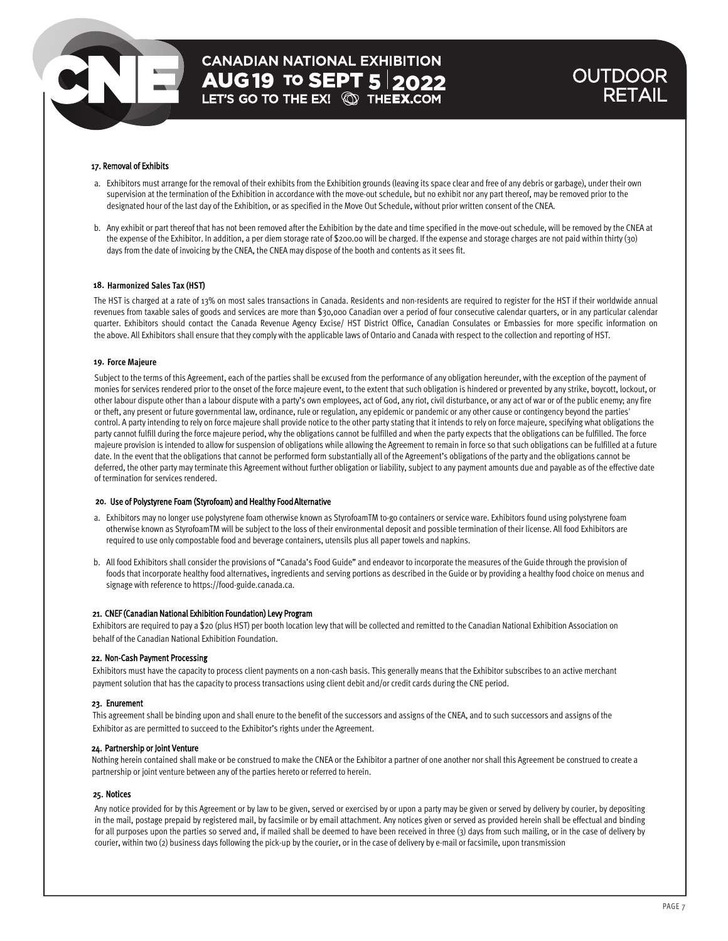# **CANADIAN NATIONAL EXHIBITION AUG 19 TO SEPT 5 2022**<br>LET'S GO TO THE EX! **QD THEEX.COM**

# **OUTDOOR** RETAIL

# 17. Removal of Exhibits

- a. Exhibitors must arrange for the removal of their exhibits from the Exhibition grounds (leaving its space clear and free of any debris or garbage), under their own supervision at the termination of the Exhibition in accordance with the move-out schedule, but no exhibit nor any part thereof, may be removed prior to the designated hour of the last day of the Exhibition, or as specified in the Move Out Schedule, without prior written consent of the CNEA.
- b. Any exhibit or part thereof that has not been removed after the Exhibition by the date and time specified in the move-out schedule, will be removed by the CNEA at the expense of the Exhibitor. In addition, a per diem storage rate of \$200.00 will be charged. If the expense and storage charges are not paid within thirty (30) days from the date of invoicing by the CNEA, the CNEA may dispose of the booth and contents as it sees fit.

## **18. Harmonized Sales Tax (HST)**

The HST is charged at a rate of 13% on most sales transactions in Canada. Residents and non-residents are required to register for the HST if their worldwide annual revenues from taxable sales of goods and services are more than \$30,000 Canadian over a period of four consecutive calendar quarters, or in any particular calendar quarter. Exhibitors should contact the Canada Revenue Agency Excise/ HST District Office, Canadian Consulates or Embassies for more specific information on the above. All Exhibitors shall ensure that they comply with the applicable laws of Ontario and Canada with respect to the collection and reporting of HST.

#### **19. Force Majeure**

Subject to the terms of this Agreement, each of the parties shall be excused from the performance of any obligation hereunder, with the exception of the payment of monies for services rendered prior to the onset of the force majeure event, to the extent that such obligation is hindered or prevented by any strike, boycott, lockout, or other labour dispute other than a labour dispute with a party's own employees, act of God, any riot, civil disturbance, or any act of war or of the public enemy; any fire or theft, any present or future governmental law, ordinance, rule or regulation, any epidemic or pandemic or any other cause or contingency beyond the parties' control. A party intending to rely on force majeure shall provide notice to the other party stating that it intends to rely on force majeure, specifying what obligations the party cannot fulfill during the force majeure period, why the obligations cannot be fulfilled and when the party expects that the obligations can be fulfilled. The force majeure provision is intended to allow for suspension of obligations while allowing the Agreement to remain in force so that such obligations can be fulfilled at a future date. In the event that the obligations that cannot be performed form substantially all of the Agreement's obligations of the party and the obligations cannot be deferred, the other party may terminate this Agreement without further obligation or liability, subject to any payment amounts due and payable as of the effective date of termination for services rendered.

#### 20. Use of Polystyrene Foam (Styrofoam) and Healthy Food Alternative

- a. Exhibitors may no longer use polystyrene foam otherwise known as StyrofoamTM to-go containers or service ware. Exhibitors found using polystyrene foam otherwise known as StyrofoamTM will be subject to the loss of their environmental deposit and possible termination of their license. All food Exhibitors are required to use only compostable food and beverage containers, utensils plus all paper towels and napkins.
- b. All food Exhibitors shall consider the provisions of "Canada's Food Guide" and endeavor to incorporate the measures of the Guide through the provision of foods that incorporate healthy food alternatives, ingredients and serving portions as described in the Guide or by providing a healthy food choice on menus and signage with reference to https://food-guide.canada.ca.

#### 21. CNEF (Canadian National Exhibition Foundation) Levy Program

Exhibitors are required to pay a \$20 (plus HST) per booth location levy that will be collected and remitted to the Canadian National Exhibition Association on behalf of the Canadian National Exhibition Foundation.

#### 22. Non-Cash Payment Processing

Exhibitors must have the capacity to process client payments on a non-cash basis. This generally means that the Exhibitor subscribes to an active merchant payment solution that has the capacity to process transactions using client debit and/or credit cards during the CNE period.

#### 23. Enurement

This agreement shall be binding upon and shall enure to the benefit of the successors and assigns of the CNEA, and to such successors and assigns of the Exhibitor as are permitted to succeed to the Exhibitor's rights under the Agreement.

#### 24. Partnership or Joint Venture

Nothing herein contained shall make or be construed to make the CNEA or the Exhibitor a partner of one another nor shall this Agreement be construed to create a partnership or joint venture between any of the parties hereto or referred to herein.

#### 25. Notices

Any notice provided for by this Agreement or by law to be given, served or exercised by or upon a party may be given or served by delivery by courier, by depositing in the mail, postage prepaid by registered mail, by facsimile or by email attachment. Any notices given or served as provided herein shall be effectual and binding for all purposes upon the parties so served and, if mailed shall be deemed to have been received in three (3) days from such mailing, or in the case of delivery by courier, within two (2) business days following the pick-up by the courier, or in the case of delivery by e-mail or facsimile, upon transmission